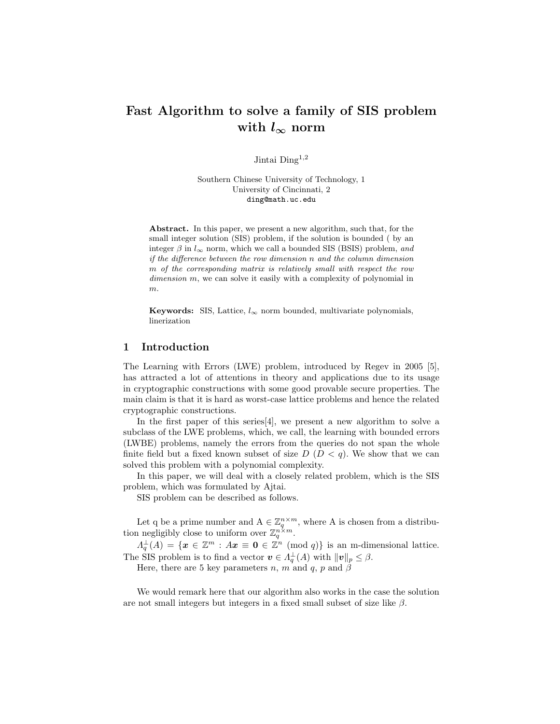# Fast Algorithm to solve a family of SIS problem with  $l_{\infty}$  norm

Jintai Ding<sup>1,2</sup>

Southern Chinese University of Technology, 1 University of Cincinnati, 2 ding@math.uc.edu

Abstract. In this paper, we present a new algorithm, such that, for the small integer solution (SIS) problem, if the solution is bounded ( by an integer  $\beta$  in  $l_{\infty}$  norm, which we call a bounded SIS (BSIS) problem, and if the difference between the row dimension n and the column dimension m of the corresponding matrix is relatively small with respect the row dimension m, we can solve it easily with a complexity of polynomial in m.

Keywords: SIS, Lattice,  $l_{\infty}$  norm bounded, multivariate polynomials, linerization

### 1 Introduction

The Learning with Errors (LWE) problem, introduced by Regev in 2005 [5], has attracted a lot of attentions in theory and applications due to its usage in cryptographic constructions with some good provable secure properties. The main claim is that it is hard as worst-case lattice problems and hence the related cryptographic constructions.

In the first paper of this series[4], we present a new algorithm to solve a subclass of the LWE problems, which, we call, the learning with bounded errors (LWBE) problems, namely the errors from the queries do not span the whole finite field but a fixed known subset of size  $D (D < q)$ . We show that we can solved this problem with a polynomial complexity.

In this paper, we will deal with a closely related problem, which is the SIS problem, which was formulated by Ajtai.

SIS problem can be described as follows.

Let q be a prime number and  $A \in \mathbb{Z}_q^{n \times m}$ , where A is chosen from a distribution negligibly close to uniform over  $\mathbb{Z}_q^{n \times m}$ .

 $\Lambda_q^{\perp}(A) = \{ \boldsymbol{x} \in \mathbb{Z}^m : A\boldsymbol{x} \equiv \boldsymbol{0} \in \mathbb{Z}^n \pmod{q} \}$  is an m-dimensional lattice. The SIS problem is to find a vector  $\mathbf{v} \in \Lambda_q^{\perp}(A)$  with  $\|\mathbf{v}\|_p \leq \beta$ .

Here, there are 5 key parameters n, m and q, p and  $\beta$ 

We would remark here that our algorithm also works in the case the solution are not small integers but integers in a fixed small subset of size like  $\beta$ .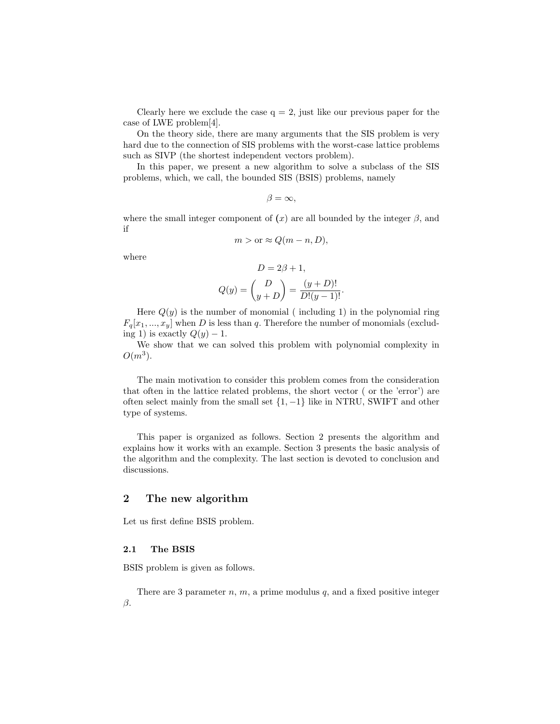Clearly here we exclude the case  $q = 2$ , just like our previous paper for the case of LWE problem[4].

On the theory side, there are many arguments that the SIS problem is very hard due to the connection of SIS problems with the worst-case lattice problems such as SIVP (the shortest independent vectors problem).

In this paper, we present a new algorithm to solve a subclass of the SIS problems, which, we call, the bounded SIS (BSIS) problems, namely

$$
\beta = \infty,
$$

where the small integer component of  $(x)$  are all bounded by the integer  $\beta$ , and if

$$
m > \text{or} \approx Q(m - n, D),
$$

where

$$
D = 2\beta + 1,
$$
  

$$
Q(y) = \binom{D}{y+D} = \frac{(y+D)!}{D!(y-1)!}.
$$

Here  $Q(y)$  is the number of monomial (including 1) in the polynomial ring  $F_q[x_1, ..., x_y]$  when D is less than q. Therefore the number of monomials (excluding 1) is exactly  $Q(y) - 1$ .

We show that we can solved this problem with polynomial complexity in  $O(m^3)$ .

The main motivation to consider this problem comes from the consideration that often in the lattice related problems, the short vector ( or the 'error') are often select mainly from the small set  $\{1, -1\}$  like in NTRU, SWIFT and other type of systems.

This paper is organized as follows. Section 2 presents the algorithm and explains how it works with an example. Section 3 presents the basic analysis of the algorithm and the complexity. The last section is devoted to conclusion and discussions.

# 2 The new algorithm

Let us first define BSIS problem.

#### 2.1 The BSIS

BSIS problem is given as follows.

There are 3 parameter  $n, m$ , a prime modulus  $q$ , and a fixed positive integer  $\beta$ .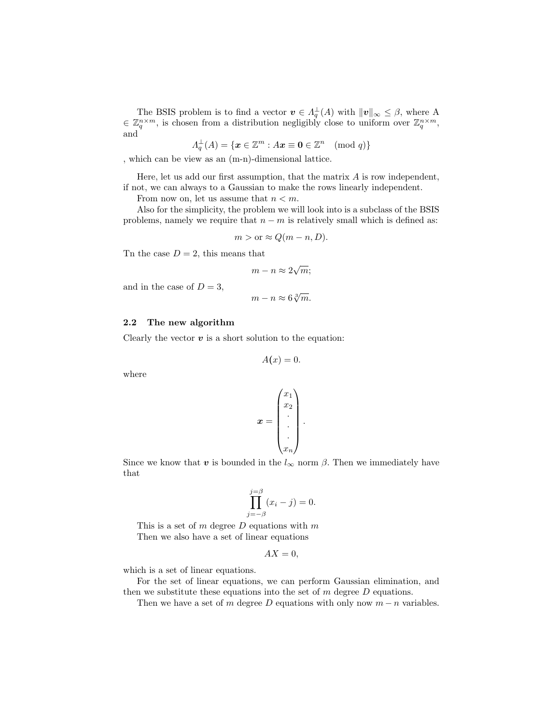The BSIS problem is to find a vector  $\mathbf{v} \in \Lambda_q^{\perp}(A)$  with  $\|\mathbf{v}\|_{\infty} \leq \beta$ , where A  $\in \mathbb{Z}_q^{n \times m}$ , is chosen from a distribution negligibly close to uniform over  $\mathbb{Z}_q^{n \times m}$ , and

$$
\Lambda_q^{\perp}(A) = \{ \boldsymbol{x} \in \mathbb{Z}^m : A\boldsymbol{x} \equiv \boldsymbol{0} \in \mathbb{Z}^n \pmod{q} \}
$$

, which can be view as an (m-n)-dimensional lattice.

Here, let us add our first assumption, that the matrix  $A$  is row independent, if not, we can always to a Gaussian to make the rows linearly independent.

From now on, let us assume that  $n < m$ .

Also for the simplicity, the problem we will look into is a subclass of the BSIS problems, namely we require that  $n - m$  is relatively small which is defined as:

$$
m > \text{or} \approx Q(m - n, D).
$$

Tn the case  $D = 2$ , this means that

$$
m - n \approx 2\sqrt{m};
$$

and in the case of  $D = 3$ ,

$$
m - n \approx 6\sqrt[3]{m}.
$$

#### 2.2 The new algorithm

Clearly the vector  $v$  is a short solution to the equation:

$$
A(x)=0.
$$

where

$$
\boldsymbol{x} = \begin{pmatrix} x_1 \\ x_2 \\ \vdots \\ \vdots \\ x_n \end{pmatrix}
$$

.

Since we know that v is bounded in the  $l_{\infty}$  norm  $\beta$ . Then we immediately have that

$$
\prod_{j=-\beta}^{j=\beta} (x_i - j) = 0.
$$

This is a set of  $m$  degree  $D$  equations with  $m$ Then we also have a set of linear equations

$$
AX=0,
$$

which is a set of linear equations.

For the set of linear equations, we can perform Gaussian elimination, and then we substitute these equations into the set of  $m$  degree  $D$  equations.

Then we have a set of m degree D equations with only now  $m - n$  variables.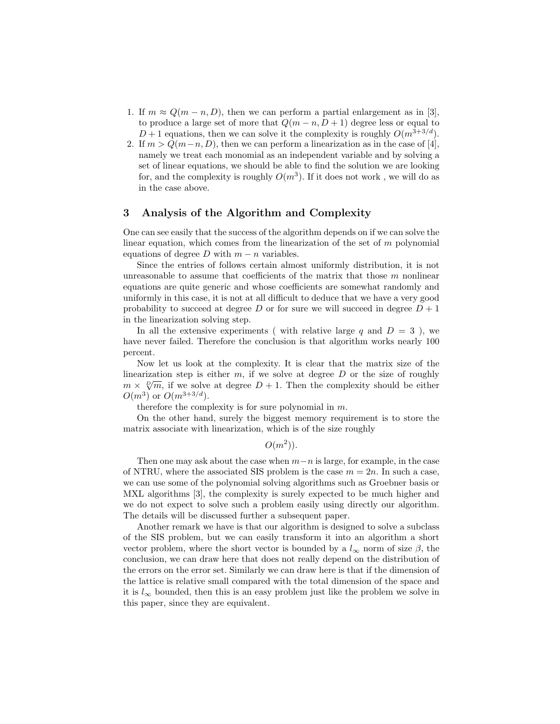- 1. If  $m \approx Q(m-n, D)$ , then we can perform a partial enlargement as in [3], to produce a large set of more that  $Q(m - n, D + 1)$  degree less or equal to  $D+1$  equations, then we can solve it the complexity is roughly  $O(m^{3+3/d})$ .
- 2. If  $m > Q(m-n, D)$ , then we can perform a linearization as in the case of [4], namely we treat each monomial as an independent variable and by solving a set of linear equations, we should be able to find the solution we are looking for, and the complexity is roughly  $O(m^3)$ . If it does not work, we will do as in the case above.

### 3 Analysis of the Algorithm and Complexity

One can see easily that the success of the algorithm depends on if we can solve the linear equation, which comes from the linearization of the set of  $m$  polynomial equations of degree D with  $m - n$  variables.

Since the entries of follows certain almost uniformly distribution, it is not unreasonable to assume that coefficients of the matrix that those  $m$  nonlinear equations are quite generic and whose coefficients are somewhat randomly and uniformly in this case, it is not at all difficult to deduce that we have a very good probability to succeed at degree D or for sure we will succeed in degree  $D + 1$ in the linearization solving step.

In all the extensive experiments ( with relative large q and  $D = 3$  ), we have never failed. Therefore the conclusion is that algorithm works nearly 100 percent.

Now let us look at the complexity. It is clear that the matrix size of the linearization step is either  $m$ , if we solve at degree  $D$  or the size of roughly meanization step is either m, if we solve at degree D or the size of foughly  $m \times \sqrt[p]{m}$ , if we solve at degree  $D + 1$ . Then the complexity should be either  $O(m^3)$  or  $O(m^{3+3/d})$ .

therefore the complexity is for sure polynomial in m.

On the other hand, surely the biggest memory requirement is to store the matrix associate with linearization, which is of the size roughly

 $O(m^2)$ ).

Then one may ask about the case when  $m-n$  is large, for example, in the case of NTRU, where the associated SIS problem is the case  $m = 2n$ . In such a case, we can use some of the polynomial solving algorithms such as Groebner basis or MXL algorithms [3], the complexity is surely expected to be much higher and we do not expect to solve such a problem easily using directly our algorithm. The details will be discussed further a subsequent paper.

Another remark we have is that our algorithm is designed to solve a subclass of the SIS problem, but we can easily transform it into an algorithm a short vector problem, where the short vector is bounded by a  $l_{\infty}$  norm of size  $\beta$ , the conclusion, we can draw here that does not really depend on the distribution of the errors on the error set. Similarly we can draw here is that if the dimension of the lattice is relative small compared with the total dimension of the space and it is  $l_{\infty}$  bounded, then this is an easy problem just like the problem we solve in this paper, since they are equivalent.